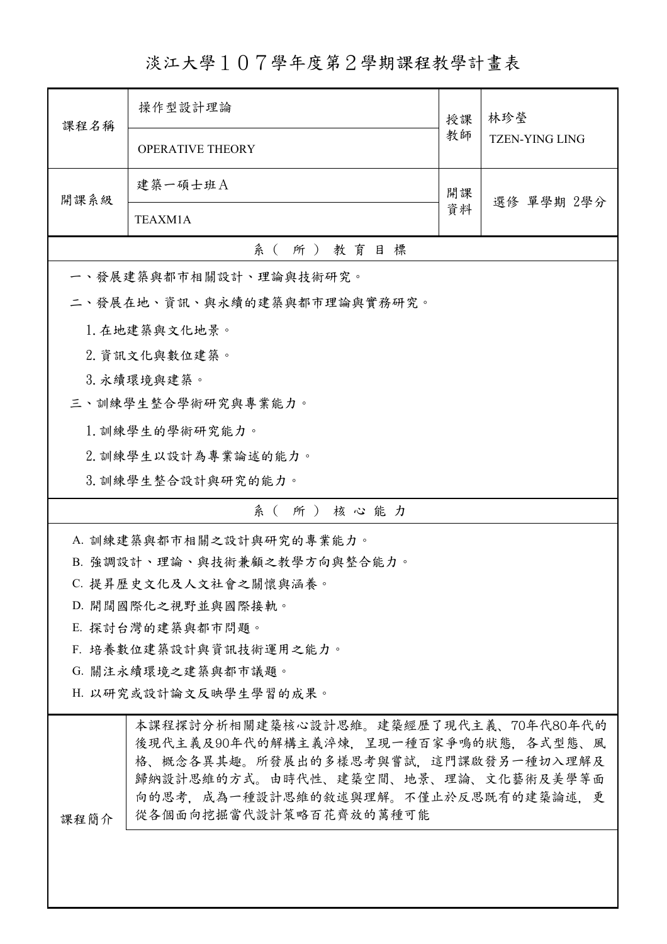淡江大學107學年度第2學期課程教學計畫表

| 課程名稱                   | 操作型設計理論                                                                                                                                                                                                                      | 授課               | 林珍瑩<br><b>TZEN-YING LING</b> |  |  |  |
|------------------------|------------------------------------------------------------------------------------------------------------------------------------------------------------------------------------------------------------------------------|------------------|------------------------------|--|--|--|
|                        | <b>OPERATIVE THEORY</b>                                                                                                                                                                                                      | 教師               |                              |  |  |  |
| 開課系級                   | 建築一碩士班A                                                                                                                                                                                                                      | 開課<br>選修 單學期 2學分 |                              |  |  |  |
|                        | 資料<br>TEAXM1A                                                                                                                                                                                                                |                  |                              |  |  |  |
|                        | 系(所)教育目標                                                                                                                                                                                                                     |                  |                              |  |  |  |
|                        | 一、發展建築與都市相關設計、理論與技術研究。                                                                                                                                                                                                       |                  |                              |  |  |  |
|                        | 二、發展在地、資訊、與永續的建築與都市理論與實務研究。                                                                                                                                                                                                  |                  |                              |  |  |  |
|                        | 1. 在地建築與文化地景。                                                                                                                                                                                                                |                  |                              |  |  |  |
|                        | 2. 資訊文化與數位建築。                                                                                                                                                                                                                |                  |                              |  |  |  |
|                        | 3. 永續環境與建築。                                                                                                                                                                                                                  |                  |                              |  |  |  |
|                        | 三、訓練學生整合學術研究與專業能力。                                                                                                                                                                                                           |                  |                              |  |  |  |
|                        | 1. 訓練學生的學術研究能力。                                                                                                                                                                                                              |                  |                              |  |  |  |
|                        | 2. 訓練學生以設計為專業論述的能力。                                                                                                                                                                                                          |                  |                              |  |  |  |
|                        | 3. 訓練學生整合設計與研究的能力。                                                                                                                                                                                                           |                  |                              |  |  |  |
|                        | 系(所)核心能力                                                                                                                                                                                                                     |                  |                              |  |  |  |
|                        | A. 訓練建築與都市相關之設計與研究的專業能力。                                                                                                                                                                                                     |                  |                              |  |  |  |
|                        | B. 強調設計、理論、與技術兼顧之教學方向與整合能力。                                                                                                                                                                                                  |                  |                              |  |  |  |
|                        | C. 提昇歷史文化及人文社會之關懷與涵養。                                                                                                                                                                                                        |                  |                              |  |  |  |
|                        | D. 開闊國際化之視野並與國際接軌。                                                                                                                                                                                                           |                  |                              |  |  |  |
|                        | E. 探討台灣的建築與都市問題。                                                                                                                                                                                                             |                  |                              |  |  |  |
| F. 培養數位建築設計與資訊技術運用之能力。 |                                                                                                                                                                                                                              |                  |                              |  |  |  |
|                        | G. 關注永續環境之建築與都市議題。                                                                                                                                                                                                           |                  |                              |  |  |  |
| H. 以研究或設計論文反映學生學習的成果。  |                                                                                                                                                                                                                              |                  |                              |  |  |  |
| 课程簡介                   | 本課程探討分析相關建築核心設計思維。建築經歷了現代主義、70年代80年代的<br>後現代主義及90年代的解構主義淬煉,呈現一種百家爭鳴的狀態,各式型態、風<br>格、概念各異其趣。所發展出的多樣思考與嘗試,這門課啟發另一種切入理解及<br>歸納設計思維的方式。由時代性、建築空間、地景、理論、文化藝術及美學等面<br>向的思考,成為一種設計思維的敘述與理解。不僅止於反思既有的建築論述,更<br>從各個面向挖掘當代設計策略百花齊放的萬種可能 |                  |                              |  |  |  |
|                        |                                                                                                                                                                                                                              |                  |                              |  |  |  |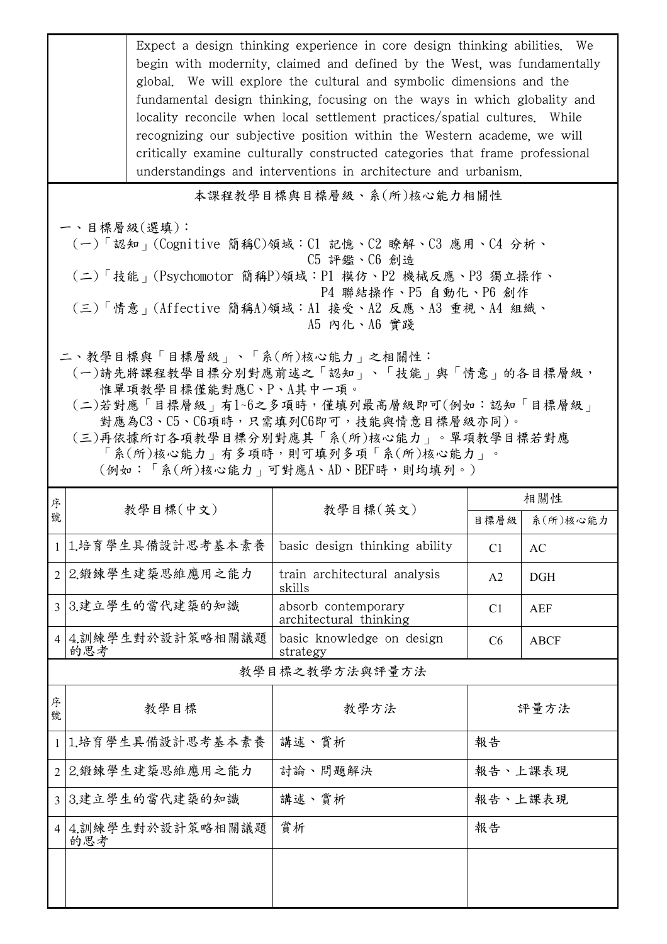|                                                                                                                                                                                                                                                                                                                 | Expect a design thinking experience in core design thinking abilities. We<br>begin with modernity, claimed and defined by the West, was fundamentally<br>global. We will explore the cultural and symbolic dimensions and the<br>fundamental design thinking, focusing on the ways in which globality and<br>locality reconcile when local settlement practices/spatial cultures. While<br>recognizing our subjective position within the Western academe, we will<br>critically examine culturally constructed categories that frame professional<br>understandings and interventions in architecture and urbanism. |                                               |                |               |  |  |  |
|-----------------------------------------------------------------------------------------------------------------------------------------------------------------------------------------------------------------------------------------------------------------------------------------------------------------|----------------------------------------------------------------------------------------------------------------------------------------------------------------------------------------------------------------------------------------------------------------------------------------------------------------------------------------------------------------------------------------------------------------------------------------------------------------------------------------------------------------------------------------------------------------------------------------------------------------------|-----------------------------------------------|----------------|---------------|--|--|--|
|                                                                                                                                                                                                                                                                                                                 | 本課程教學目標與目標層級、系(所)核心能力相關性                                                                                                                                                                                                                                                                                                                                                                                                                                                                                                                                                                                             |                                               |                |               |  |  |  |
|                                                                                                                                                                                                                                                                                                                 | 一、目標層級(選填):<br>(一)「認知」(Cognitive 簡稱C)領域:C1 記憶、C2 瞭解、C3 應用、C4 分析、<br>C5 評鑑、C6 創造<br>(二)「技能」(Psychomotor 簡稱P)領域:P1 模仿、P2 機械反應、P3 獨立操作、<br>P4 聯結操作、P5 自動化、P6 創作<br>(三)「情意」(Affective 簡稱A)領域:Al 接受、A2 反應、A3 重視、A4 組織、<br>A5 内化、A6 實踐                                                                                                                                                                                                                                                                                                                                                                                     |                                               |                |               |  |  |  |
| 二、教學目標與「目標層級」、「系(所)核心能力」之相關性:<br>(一)請先將課程教學目標分別對應前述之「認知」、「技能」與「情意」的各目標層級,<br>惟單項教學目標僅能對應C、P、A其中一項。<br>(二)若對應「目標層級」有1~6之多項時,僅填列最高層級即可(例如:認知「目標層級」<br>對應為C3、C5、C6項時,只需填列C6即可,技能與情意目標層級亦同)。<br>(三)再依據所訂各項教學目標分別對應其「系(所)核心能力」。單項教學目標若對應<br>「系(所)核心能力 , 有多項時, 則可填列多項「系(所)核心能力」。<br>(例如:「系(所)核心能力﹔可對應A、AD、BEF時,則均填列。) |                                                                                                                                                                                                                                                                                                                                                                                                                                                                                                                                                                                                                      |                                               |                |               |  |  |  |
| 序                                                                                                                                                                                                                                                                                                               | 教學目標(中文)                                                                                                                                                                                                                                                                                                                                                                                                                                                                                                                                                                                                             | 教學目標(英文)                                      |                | 相關性           |  |  |  |
| 號                                                                                                                                                                                                                                                                                                               |                                                                                                                                                                                                                                                                                                                                                                                                                                                                                                                                                                                                                      |                                               |                | 目標層級 系(所)核心能力 |  |  |  |
|                                                                                                                                                                                                                                                                                                                 | 1 1.培育學生具備設計思考基本素養                                                                                                                                                                                                                                                                                                                                                                                                                                                                                                                                                                                                   | basic design thinking ability                 | C <sub>1</sub> | AC            |  |  |  |
| $\overline{2}$                                                                                                                                                                                                                                                                                                  | 2.鍛鍊學生建築思維應用之能力                                                                                                                                                                                                                                                                                                                                                                                                                                                                                                                                                                                                      | train architectural analysis<br>skills        | A <sub>2</sub> | <b>DGH</b>    |  |  |  |
|                                                                                                                                                                                                                                                                                                                 | 3 3.建立學生的當代建築的知識                                                                                                                                                                                                                                                                                                                                                                                                                                                                                                                                                                                                     | absorb contemporary<br>architectural thinking | C <sub>1</sub> | AEF           |  |  |  |
| $\overline{4}$                                                                                                                                                                                                                                                                                                  | 4.訓練學生對於設計策略相關議題<br>的思考                                                                                                                                                                                                                                                                                                                                                                                                                                                                                                                                                                                              | basic knowledge on design<br>strategy         | C <sub>6</sub> | <b>ABCF</b>   |  |  |  |
|                                                                                                                                                                                                                                                                                                                 | 教學目標之教學方法與評量方法                                                                                                                                                                                                                                                                                                                                                                                                                                                                                                                                                                                                       |                                               |                |               |  |  |  |
| 序<br>號                                                                                                                                                                                                                                                                                                          | 教學目標                                                                                                                                                                                                                                                                                                                                                                                                                                                                                                                                                                                                                 | 教學方法                                          | 評量方法           |               |  |  |  |
|                                                                                                                                                                                                                                                                                                                 | 1 1.培育學生具備設計思考基本素養                                                                                                                                                                                                                                                                                                                                                                                                                                                                                                                                                                                                   | 講述、賞析                                         | 報告             |               |  |  |  |
| $\overline{2}$                                                                                                                                                                                                                                                                                                  | 2.鍛鍊學生建築思維應用之能力                                                                                                                                                                                                                                                                                                                                                                                                                                                                                                                                                                                                      | 討論、問題解決                                       | 報告、上課表現        |               |  |  |  |
|                                                                                                                                                                                                                                                                                                                 | 3 3.建立學生的當代建築的知識                                                                                                                                                                                                                                                                                                                                                                                                                                                                                                                                                                                                     | 講述、賞析                                         | 報告、上課表現        |               |  |  |  |
| $\vert$ 4                                                                                                                                                                                                                                                                                                       | 4.訓練學生對於設計策略相關議題<br>的思考                                                                                                                                                                                                                                                                                                                                                                                                                                                                                                                                                                                              | 賞析                                            | 報告             |               |  |  |  |
|                                                                                                                                                                                                                                                                                                                 |                                                                                                                                                                                                                                                                                                                                                                                                                                                                                                                                                                                                                      |                                               |                |               |  |  |  |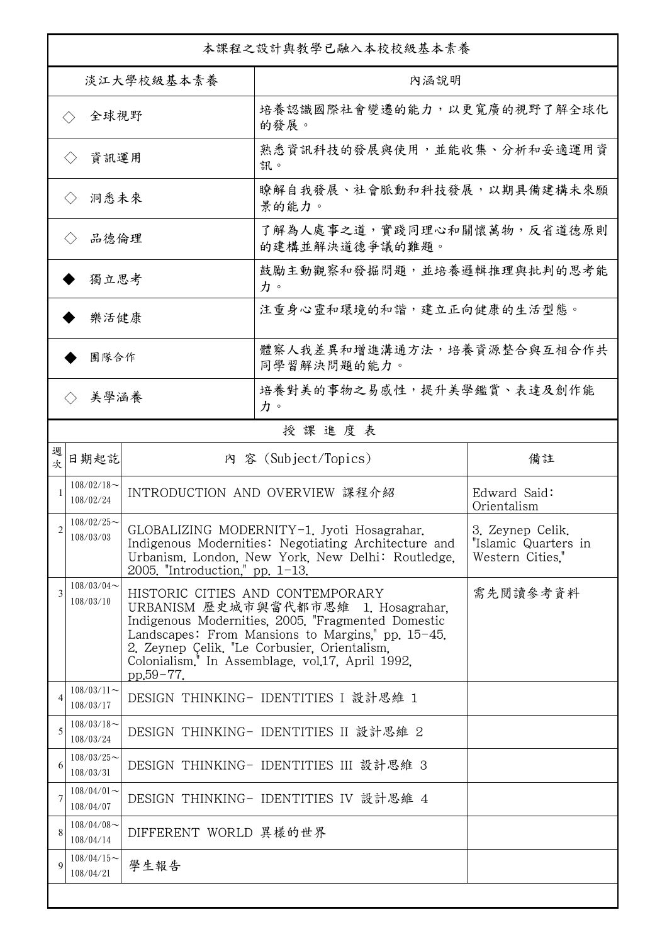| 本課程之設計與教學已融入本校校級基本素養        |                            |                                    |                                                                                                                                                                                                                                                                                                       |                                                              |  |
|-----------------------------|----------------------------|------------------------------------|-------------------------------------------------------------------------------------------------------------------------------------------------------------------------------------------------------------------------------------------------------------------------------------------------------|--------------------------------------------------------------|--|
| 淡江大學校級基本素養                  |                            |                                    | 內涵說明                                                                                                                                                                                                                                                                                                  |                                                              |  |
| 全球視野<br>$\langle \ \rangle$ |                            |                                    | 培養認識國際社會變遷的能力,以更寬廣的視野了解全球化<br>的發展。                                                                                                                                                                                                                                                                    |                                                              |  |
| 資訊運用<br>$\langle \ \rangle$ |                            |                                    | 熟悉資訊科技的發展與使用,並能收集、分析和妥適運用資<br>訊。                                                                                                                                                                                                                                                                      |                                                              |  |
| 洞悉未來<br>$\langle \rangle$   |                            |                                    | 瞭解自我發展、社會脈動和科技發展,以期具備建構未來願<br>景的能力。                                                                                                                                                                                                                                                                   |                                                              |  |
| 品德倫理<br>$\langle \ \rangle$ |                            |                                    | 了解為人處事之道,實踐同理心和關懷萬物,反省道德原則<br>的建構並解決道德爭議的難題。                                                                                                                                                                                                                                                          |                                                              |  |
| 獨立思考                        |                            |                                    | 鼓勵主動觀察和發掘問題,並培養邏輯推理與批判的思考能<br>力。                                                                                                                                                                                                                                                                      |                                                              |  |
| 樂活健康                        |                            |                                    | 注重身心靈和環境的和諧,建立正向健康的生活型態。                                                                                                                                                                                                                                                                              |                                                              |  |
| 團隊合作                        |                            |                                    | 體察人我差異和增進溝通方法,培養資源整合與互相合作共<br>同學習解決問題的能力。                                                                                                                                                                                                                                                             |                                                              |  |
| 美學涵養<br>$\langle \rangle$   |                            |                                    | 培養對美的事物之易感性,提升美學鑑賞、表達及創作能<br>力。                                                                                                                                                                                                                                                                       |                                                              |  |
|                             |                            |                                    | 授課進度表                                                                                                                                                                                                                                                                                                 |                                                              |  |
| 週<br>欤                      | 日期起訖                       |                                    | 內 容 (Subject/Topics)                                                                                                                                                                                                                                                                                  | 備註                                                           |  |
|                             | $108/02/18$ ~<br>108/02/24 |                                    | INTRODUCTION AND OVERVIEW 課程介紹                                                                                                                                                                                                                                                                        | Edward Said:<br>Orientalism                                  |  |
| $\mathfrak{D}$              | $108/02/25$ ~<br>108/03/03 | 2005. "Introduction." pp. $1-13$ . | GLOBALIZING MODERNITY-1. Jyoti Hosagrahar.<br>Indigenous Modernities: Negotiating Architecture and<br>Urbanism, London, New York, New Delhi: Routledge,                                                                                                                                               | 3. Zeynep Celik,<br>"Islamic Quarters in<br>Western Cities." |  |
| 3                           | $108/03/04$ ~<br>108/03/10 | pp.59-77.                          | HISTORIC CITIES AND CONTEMPORARY<br>URBANISM 歷史城市與當代都市思維 1. Hosagrahar,<br>Indigenous Modernities, 2005. "Fragmented Domestic<br>Landscapes: From Mansions to Margins," pp. $15-45$ .<br>2. Zeynep Çelik. "Le Corbusier, Orientalism,<br>Colonialism. <sup>1</sup> In Assemblage, vol.17, April 1992, | 需先閱讀參考資料                                                     |  |
| 4                           | $108/03/11$ ~<br>108/03/17 |                                    | DESIGN THINKING- IDENTITIES I 設計思維 1                                                                                                                                                                                                                                                                  |                                                              |  |
| 5                           | $108/03/18$ ~<br>108/03/24 |                                    | DESIGN THINKING- IDENTITIES II 設計思維 2                                                                                                                                                                                                                                                                 |                                                              |  |
| 6                           | $108/03/25$ ~<br>108/03/31 |                                    | DESIGN THINKING- IDENTITIES III 設計思維 3                                                                                                                                                                                                                                                                |                                                              |  |
| 7                           | $108/04/01$ ~<br>108/04/07 |                                    | DESIGN THINKING- IDENTITIES IV 設計思維 4                                                                                                                                                                                                                                                                 |                                                              |  |
| 8                           | $108/04/08$ ~<br>108/04/14 | DIFFERENT WORLD 異樣的世界              |                                                                                                                                                                                                                                                                                                       |                                                              |  |
| 9                           | $108/04/15$ ~<br>108/04/21 | 學生報告                               |                                                                                                                                                                                                                                                                                                       |                                                              |  |
|                             |                            |                                    |                                                                                                                                                                                                                                                                                                       |                                                              |  |